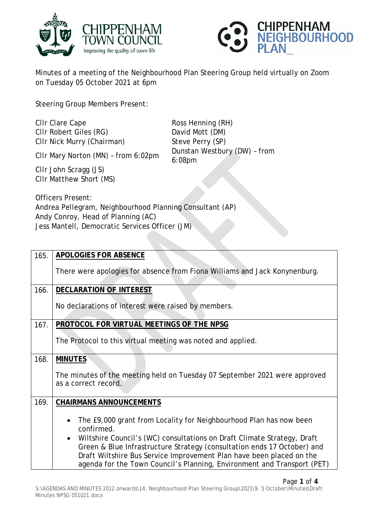



Minutes of a meeting of the Neighbourhood Plan Steering Group held virtually on Zoom on Tuesday 05 October 2021 at 6pm

Steering Group Members Present:

Clir Clare Cape **Ross Henning (RH)** Cllr Robert Giles (RG) David Mott (DM)

Cllr Nick Murry (Chairman) Steve Perry (SP)<br>
Clin Mary Norton (MN) from 6:02pm Dunstan Westbury (DW) - from 6:08pm

Cllr Mary Norton (MN) - from 6:02pm

Cllr John Scragg (JS) Cllr Matthew Short (MS)

Officers Present: Andrea Pellegram, Neighbourhood Planning Consultant (AP) Andy Conroy, Head of Planning (AC) Jess Mantell, Democratic Services Officer (JM)

| 165. | <b>APOLOGIES FOR ABSENCE</b>                                                                                                                                                                                                                                                                                                                                                              |
|------|-------------------------------------------------------------------------------------------------------------------------------------------------------------------------------------------------------------------------------------------------------------------------------------------------------------------------------------------------------------------------------------------|
|      | There were apologies for absence from Fiona Williams and Jack Konynenburg.                                                                                                                                                                                                                                                                                                                |
| 166. | <b>DECLARATION OF INTEREST</b>                                                                                                                                                                                                                                                                                                                                                            |
|      | No declarations of interest were raised by members.                                                                                                                                                                                                                                                                                                                                       |
| 167. | PROTOCOL FOR VIRTUAL MEETINGS OF THE NPSG                                                                                                                                                                                                                                                                                                                                                 |
|      | The Protocol to this virtual meeting was noted and applied.                                                                                                                                                                                                                                                                                                                               |
| 168. | <b>MINUTES</b>                                                                                                                                                                                                                                                                                                                                                                            |
|      | The minutes of the meeting held on Tuesday 07 September 2021 were approved<br>as a correct record.                                                                                                                                                                                                                                                                                        |
| 169. | <b>CHAIRMANS ANNOUNCEMENTS</b>                                                                                                                                                                                                                                                                                                                                                            |
|      | The £9,000 grant from Locality for Neighbourhood Plan has now been<br>confirmed.<br>Wiltshire Council's (WC) consultations on Draft Climate Strategy, Draft<br>Green & Blue Infrastructure Strategy (consultation ends 17 October) and<br>Draft Wiltshire Bus Service Improvement Plan have been placed on the<br>agenda for the Town Council's Planning, Environment and Transport (PET) |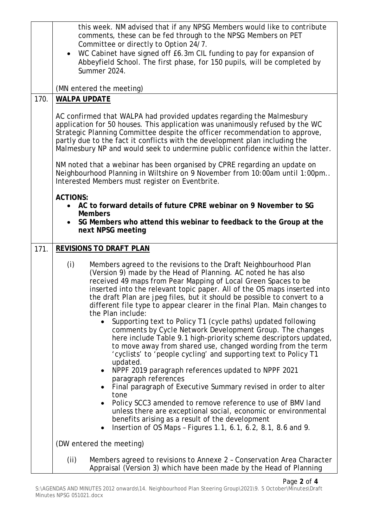|      | this week. NM advised that if any NPSG Members would like to contribute<br>comments, these can be fed through to the NPSG Members on PET                                                                                                                                                                                                                                                                                                                            |
|------|---------------------------------------------------------------------------------------------------------------------------------------------------------------------------------------------------------------------------------------------------------------------------------------------------------------------------------------------------------------------------------------------------------------------------------------------------------------------|
|      | Committee or directly to Option 24/7.<br>• WC Cabinet have signed off £6.3m CIL funding to pay for expansion of<br>Abbeyfield School. The first phase, for 150 pupils, will be completed by<br>Summer 2024.                                                                                                                                                                                                                                                         |
|      | (MN entered the meeting)                                                                                                                                                                                                                                                                                                                                                                                                                                            |
| 170. | <b>WALPA UPDATE</b>                                                                                                                                                                                                                                                                                                                                                                                                                                                 |
|      | AC confirmed that WALPA had provided updates regarding the Malmesbury<br>application for 50 houses. This application was unanimously refused by the WC<br>Strategic Planning Committee despite the officer recommendation to approve,<br>partly due to the fact it conflicts with the development plan including the<br>Malmesbury NP and would seek to undermine public confidence within the latter.                                                              |
|      | NM noted that a webinar has been organised by CPRE regarding an update on<br>Neighbourhood Planning in Wiltshire on 9 November from 10:00am until 1:00pm<br>Interested Members must register on Eventbrite.                                                                                                                                                                                                                                                         |
|      | <b>ACTIONS:</b><br>AC to forward details of future CPRE webinar on 9 November to SG<br>$\bullet$<br><b>Members</b>                                                                                                                                                                                                                                                                                                                                                  |
|      | SG Members who attend this webinar to feedback to the Group at the<br>next NPSG meeting                                                                                                                                                                                                                                                                                                                                                                             |
| 171. | <b>REVISIONS TO DRAFT PLAN</b>                                                                                                                                                                                                                                                                                                                                                                                                                                      |
|      | (i)<br>Members agreed to the revisions to the Draft Neighbourhood Plan<br>(Version 9) made by the Head of Planning. AC noted he has also<br>received 49 maps from Pear Mapping of Local Green Spaces to be<br>inserted into the relevant topic paper. All of the OS maps inserted into<br>the draft Plan are jpeg files, but it should be possible to convert to a<br>different file type to appear clearer in the final Plan. Main changes to<br>the Plan include: |
|      | Supporting text to Policy T1 (cycle paths) updated following<br>comments by Cycle Network Development Group. The changes<br>here include Table 9.1 high-priority scheme descriptors updated,<br>to move away from shared use, changed wording from the term<br>'cyclists' to 'people cycling' and supporting text to Policy T1<br>updated.                                                                                                                          |
|      | NPPF 2019 paragraph references updated to NPPF 2021<br>$\bullet$                                                                                                                                                                                                                                                                                                                                                                                                    |
|      | paragraph references<br>Final paragraph of Executive Summary revised in order to alter                                                                                                                                                                                                                                                                                                                                                                              |
|      | tone<br>Policy SCC3 amended to remove reference to use of BMV land<br>unless there are exceptional social, economic or environmental<br>benefits arising as a result of the development<br>Insertion of OS Maps - Figures 1.1, 6.1, 6.2, 8.1, 8.6 and 9.                                                                                                                                                                                                            |
|      | (DW entered the meeting)                                                                                                                                                                                                                                                                                                                                                                                                                                            |
|      | (ii)<br>Members agreed to revisions to Annexe 2 - Conservation Area Character<br>Appraisal (Version 3) which have been made by the Head of Planning                                                                                                                                                                                                                                                                                                                 |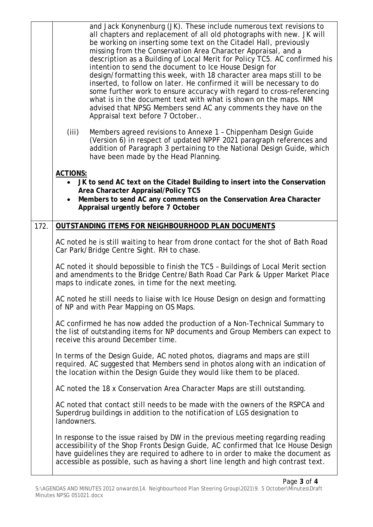|      | and Jack Konynenburg (JK). These include numerous text revisions to<br>all chapters and replacement of all old photographs with new. JK will<br>be working on inserting some text on the Citadel Hall, previously<br>missing from the Conservation Area Character Appraisal, and a<br>description as a Building of Local Merit for Policy TC5. AC confirmed his<br>intention to send the document to Ice House Design for<br>design/formatting this week, with 18 character area maps still to be<br>inserted, to follow on later. He confirmed it will be necessary to do<br>some further work to ensure accuracy with regard to cross-referencing<br>what is in the document text with what is shown on the maps. NM<br>advised that NPSG Members send AC any comments they have on the<br>Appraisal text before 7 October |
|------|------------------------------------------------------------------------------------------------------------------------------------------------------------------------------------------------------------------------------------------------------------------------------------------------------------------------------------------------------------------------------------------------------------------------------------------------------------------------------------------------------------------------------------------------------------------------------------------------------------------------------------------------------------------------------------------------------------------------------------------------------------------------------------------------------------------------------|
|      | (iii)<br>Members agreed revisions to Annexe 1 - Chippenham Design Guide<br>(Version 6) in respect of updated NPPF 2021 paragraph references and<br>addition of Paragraph 3 pertaining to the National Design Guide, which<br>have been made by the Head Planning.                                                                                                                                                                                                                                                                                                                                                                                                                                                                                                                                                            |
|      | <b>ACTIONS:</b><br>• JK to send AC text on the Citadel Building to insert into the Conservation<br>Area Character Appraisal/Policy TC5<br>Members to send AC any comments on the Conservation Area Character<br>Appraisal urgently before 7 October                                                                                                                                                                                                                                                                                                                                                                                                                                                                                                                                                                          |
| 172. | OUTSTANDING ITEMS FOR NEIGHBOURHOOD PLAN DOCUMENTS                                                                                                                                                                                                                                                                                                                                                                                                                                                                                                                                                                                                                                                                                                                                                                           |
|      | AC noted he is still waiting to hear from drone contact for the shot of Bath Road<br>Car Park/Bridge Centre Sight. RH to chase.                                                                                                                                                                                                                                                                                                                                                                                                                                                                                                                                                                                                                                                                                              |
|      | AC noted it should bepossible to finish the TC5 - Buildings of Local Merit section<br>and amendments to the Bridge Centre/Bath Road Car Park & Upper Market Place<br>maps to indicate zones, in time for the next meeting.                                                                                                                                                                                                                                                                                                                                                                                                                                                                                                                                                                                                   |
|      | AC noted he still needs to liaise with Ice House Design on design and formatting<br>of NP and with Pear Mapping on OS Maps.                                                                                                                                                                                                                                                                                                                                                                                                                                                                                                                                                                                                                                                                                                  |
|      | AC confirmed he has now added the production of a Non-Technical Summary to<br>the list of outstanding items for NP documents and Group Members can expect to<br>receive this around December time.                                                                                                                                                                                                                                                                                                                                                                                                                                                                                                                                                                                                                           |
|      | In terms of the Design Guide, AC noted photos, diagrams and maps are still<br>required. AC suggested that Members send in photos along with an indication of<br>the location within the Design Guide they would like them to be placed.                                                                                                                                                                                                                                                                                                                                                                                                                                                                                                                                                                                      |
|      | AC noted the 18 x Conservation Area Character Maps are still outstanding.                                                                                                                                                                                                                                                                                                                                                                                                                                                                                                                                                                                                                                                                                                                                                    |
|      | AC noted that contact still needs to be made with the owners of the RSPCA and<br>Superdrug buildings in addition to the notification of LGS designation to<br>landowners.                                                                                                                                                                                                                                                                                                                                                                                                                                                                                                                                                                                                                                                    |
|      | In response to the issue raised by DW in the previous meeting regarding reading<br>accessibility of the Shop Fronts Design Guide, AC confirmed that Ice House Design<br>have guidelines they are required to adhere to in order to make the document as<br>accessible as possible, such as having a short line length and high contrast text.                                                                                                                                                                                                                                                                                                                                                                                                                                                                                |